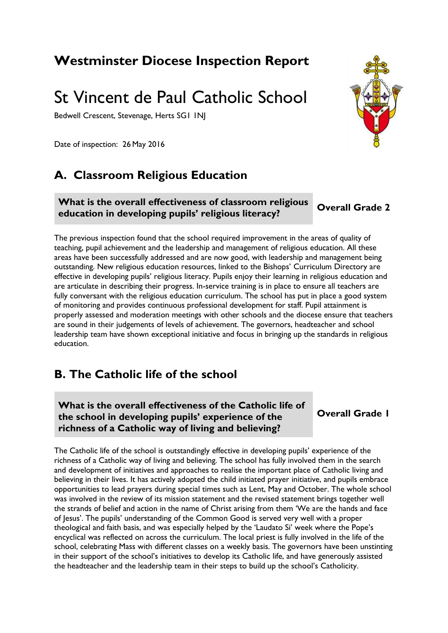## **Westminster Diocese Inspection Report**

# St Vincent de Paul Catholic School

Bedwell Crescent, Stevenage, Herts SG1 1NJ

Date of inspection: 26 May 2016

## **A. Classroom Religious Education**

#### **What is the overall effectiveness of classroom religious education in developing pupils' religious literacy? Overall Grade 2**

The previous inspection found that the school required improvement in the areas of quality of teaching, pupil achievement and the leadership and management of religious education. All these areas have been successfully addressed and are now good, with leadership and management being outstanding. New religious education resources, linked to the Bishops' Curriculum Directory are effective in developing pupils' religious literacy. Pupils enjoy their learning in religious education and are articulate in describing their progress. In-service training is in place to ensure all teachers are fully conversant with the religious education curriculum. The school has put in place a good system of monitoring and provides continuous professional development for staff. Pupil attainment is properly assessed and moderation meetings with other schools and the diocese ensure that teachers are sound in their judgements of levels of achievement. The governors, headteacher and school leadership team have shown exceptional initiative and focus in bringing up the standards in religious education.

## **B. The Catholic life of the school**

**What is the overall effectiveness of the Catholic life of the school in developing pupils' experience of the richness of a Catholic way of living and believing?**

**Overall Grade 1**

The Catholic life of the school is outstandingly effective in developing pupils' experience of the richness of a Catholic way of living and believing. The school has fully involved them in the search and development of initiatives and approaches to realise the important place of Catholic living and believing in their lives. It has actively adopted the child initiated prayer initiative, and pupils embrace opportunities to lead prayers during special times such as Lent, May and October. The whole school was involved in the review of its mission statement and the revised statement brings together well the strands of belief and action in the name of Christ arising from them 'We are the hands and face of Jesus'. The pupils' understanding of the Common Good is served very well with a proper theological and faith basis, and was especially helped by the 'Laudato Si' week where the Pope's encyclical was reflected on across the curriculum. The local priest is fully involved in the life of the school, celebrating Mass with different classes on a weekly basis. The governors have been unstinting in their support of the school's initiatives to develop its Catholic life, and have generously assisted the headteacher and the leadership team in their steps to build up the school's Catholicity.

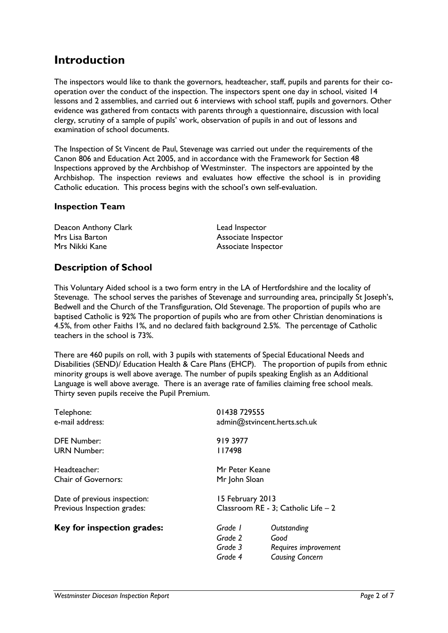## **Introduction**

The inspectors would like to thank the governors, headteacher, staff, pupils and parents for their cooperation over the conduct of the inspection. The inspectors spent one day in school, visited 14 lessons and 2 assemblies, and carried out 6 interviews with school staff, pupils and governors. Other evidence was gathered from contacts with parents through a questionnaire, discussion with local clergy, scrutiny of a sample of pupils' work, observation of pupils in and out of lessons and examination of school documents.

The Inspection of St Vincent de Paul, Stevenage was carried out under the requirements of the Canon 806 and Education Act 2005, and in accordance with the Framework for Section 48 Inspections approved by the Archbishop of Westminster. The inspectors are appointed by the Archbishop. The inspection reviews and evaluates how effective the school is in providing Catholic education. This process begins with the school's own self-evaluation.

#### **Inspection Team**

| Deacon Anthony Clark | Lead Inspector      |
|----------------------|---------------------|
| Mrs Lisa Barton      | Associate Inspector |
| Mrs Nikki Kane       | Associate Inspector |

### **Description of School**

This Voluntary Aided school is a two form entry in the LA of Hertfordshire and the locality of Stevenage. The school serves the parishes of Stevenage and surrounding area, principally St Joseph's, Bedwell and the Church of the Transfiguration, Old Stevenage. The proportion of pupils who are baptised Catholic is 92% The proportion of pupils who are from other Christian denominations is 4.5%, from other Faiths 1%, and no declared faith background 2.5%. The percentage of Catholic teachers in the school is 73%.

There are 460 pupils on roll, with 3 pupils with statements of Special Educational Needs and Disabilities (SEND)/ Education Health & Care Plans (EHCP). The proportion of pupils from ethnic minority groups is well above average. The number of pupils speaking English as an Additional Language is well above average. There is an average rate of families claiming free school meals. Thirty seven pupils receive the Pupil Premium.

| Telephone:<br>e-mail address:                               |                                          | 01438 729555<br>admin@stvincent.herts.sch.uk                          |  |
|-------------------------------------------------------------|------------------------------------------|-----------------------------------------------------------------------|--|
| <b>DFE Number:</b><br><b>URN Number:</b>                    | 919 3977<br>117498                       |                                                                       |  |
| Headteacher:<br>Chair of Governors:                         | Mr Peter Keane<br>Mr John Sloan          |                                                                       |  |
| Date of previous inspection:<br>Previous Inspection grades: |                                          | 15 February 2013<br>Classroom RE - 3; Catholic Life - 2               |  |
| Key for inspection grades:                                  | Grade 1<br>Grade 2<br>Grade 3<br>Grade 4 | Outstanding<br>Good<br>Requires improvement<br><b>Causing Concern</b> |  |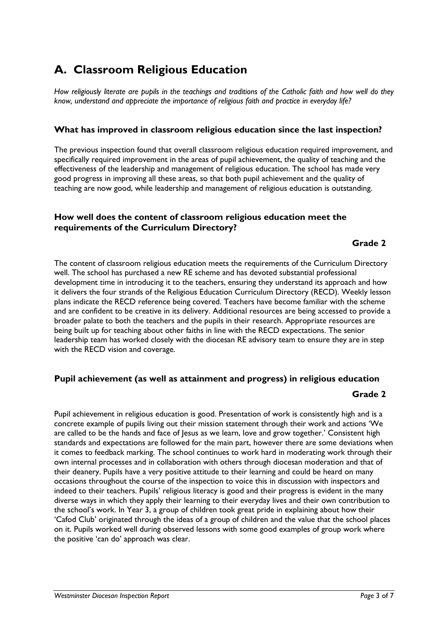## **A. Classroom Religious Education**

*How religiously literate are pupils in the teachings and traditions of the Catholic faith and how well do they know, understand and appreciate the importance of religious faith and practice in everyday life?*

#### **What has improved in classroom religious education since the last inspection?**

The previous inspection found that overall classroom religious education required improvement, and specifically required improvement in the areas of pupil achievement, the quality of teaching and the effectiveness of the leadership and management of religious education. The school has made very good progress in improving all these areas, so that both pupil achievement and the quality of teaching are now good, while leadership and management of religious education is outstanding.

#### **How well does the content of classroom religious education meet the requirements of the Curriculum Directory?**

#### **Grade 2**

The content of classroom religious education meets the requirements of the Curriculum Directory well. The school has purchased a new RE scheme and has devoted substantial professional development time in introducing it to the teachers, ensuring they understand its approach and how it delivers the four strands of the Religious Education Curriculum Directory (RECD). Weekly lesson plans indicate the RECD reference being covered. Teachers have become familiar with the scheme and are confident to be creative in its delivery. Additional resources are being accessed to provide a broader palate to both the teachers and the pupils in their research. Appropriate resources are being built up for teaching about other faiths in line with the RECD expectations. The senior leadership team has worked closely with the diocesan RE advisory team to ensure they are in step with the RECD vision and coverage.

#### **Pupil achievement (as well as attainment and progress) in religious education**

#### **Grade 2**

Pupil achievement in religious education is good. Presentation of work is consistently high and is a concrete example of pupils living out their mission statement through their work and actions 'We are called to be the hands and face of Jesus as we learn, love and grow together.' Consistent high standards and expectations are followed for the main part, however there are some deviations when it comes to feedback marking. The school continues to work hard in moderating work through their own internal processes and in collaboration with others through diocesan moderation and that of their deanery. Pupils have a very positive attitude to their learning and could be heard on many occasions throughout the course of the inspection to voice this in discussion with inspectors and indeed to their teachers. Pupils' religious literacy is good and their progress is evident in the many diverse ways in which they apply their learning to their everyday lives and their own contribution to the school's work. In Year 3, a group of children took great pride in explaining about how their 'Cafod Club' originated through the ideas of a group of children and the value that the school places on it. Pupils worked well during observed lessons with some good examples of group work where the positive 'can do' approach was clear.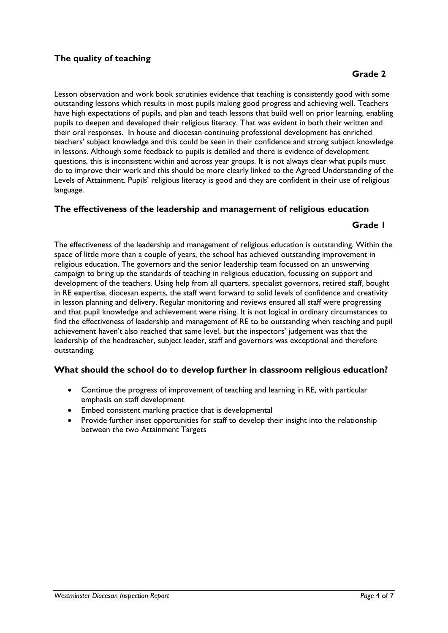#### **The quality of teaching**

Lesson observation and work book scrutinies evidence that teaching is consistently good with some outstanding lessons which results in most pupils making good progress and achieving well. Teachers have high expectations of pupils, and plan and teach lessons that build well on prior learning, enabling pupils to deepen and developed their religious literacy. That was evident in both their written and their oral responses. In house and diocesan continuing professional development has enriched teachers' subject knowledge and this could be seen in their confidence and strong subject knowledge in lessons. Although some feedback to pupils is detailed and there is evidence of development questions, this is inconsistent within and across year groups. It is not always clear what pupils must do to improve their work and this should be more clearly linked to the Agreed Understanding of the Levels of Attainment. Pupils' religious literacy is good and they are confident in their use of religious language.

#### **The effectiveness of the leadership and management of religious education**

#### **Grade 1**

The effectiveness of the leadership and management of religious education is outstanding. Within the space of little more than a couple of years, the school has achieved outstanding improvement in religious education. The governors and the senior leadership team focussed on an unswerving campaign to bring up the standards of teaching in religious education, focussing on support and development of the teachers. Using help from all quarters, specialist governors, retired staff, bought in RE expertise, diocesan experts, the staff went forward to solid levels of confidence and creativity in lesson planning and delivery. Regular monitoring and reviews ensured all staff were progressing and that pupil knowledge and achievement were rising. It is not logical in ordinary circumstances to find the effectiveness of leadership and management of RE to be outstanding when teaching and pupil achievement haven't also reached that same level, but the inspectors' judgement was that the leadership of the headteacher, subject leader, staff and governors was exceptional and therefore outstanding.

#### **What should the school do to develop further in classroom religious education?**

- Continue the progress of improvement of teaching and learning in RE, with particular emphasis on staff development
- Embed consistent marking practice that is developmental
- Provide further inset opportunities for staff to develop their insight into the relationship between the two Attainment Targets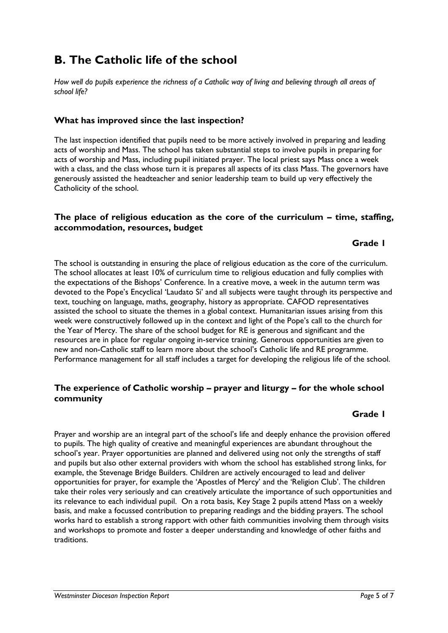## **B. The Catholic life of the school**

*How well do pupils experience the richness of a Catholic way of living and believing through all areas of school life?*

#### **What has improved since the last inspection?**

The last inspection identified that pupils need to be more actively involved in preparing and leading acts of worship and Mass. The school has taken substantial steps to involve pupils in preparing for acts of worship and Mass, including pupil initiated prayer. The local priest says Mass once a week with a class, and the class whose turn it is prepares all aspects of its class Mass. The governors have generously assisted the headteacher and senior leadership team to build up very effectively the Catholicity of the school.

#### **The place of religious education as the core of the curriculum – time, staffing, accommodation, resources, budget**

#### **Grade 1**

The school is outstanding in ensuring the place of religious education as the core of the curriculum. The school allocates at least 10% of curriculum time to religious education and fully complies with the expectations of the Bishops' Conference. In a creative move, a week in the autumn term was devoted to the Pope's Encyclical 'Laudato Si' and all subjects were taught through its perspective and text, touching on language, maths, geography, history as appropriate. CAFOD representatives assisted the school to situate the themes in a global context. Humanitarian issues arising from this week were constructively followed up in the context and light of the Pope's call to the church for the Year of Mercy. The share of the school budget for RE is generous and significant and the resources are in place for regular ongoing in-service training. Generous opportunities are given to new and non-Catholic staff to learn more about the school's Catholic life and RE programme. Performance management for all staff includes a target for developing the religious life of the school.

#### **The experience of Catholic worship – prayer and liturgy – for the whole school community**

#### **Grade 1**

Prayer and worship are an integral part of the school's life and deeply enhance the provision offered to pupils. The high quality of creative and meaningful experiences are abundant throughout the school's year. Prayer opportunities are planned and delivered using not only the strengths of staff and pupils but also other external providers with whom the school has established strong links, for example, the Stevenage Bridge Builders. Children are actively encouraged to lead and deliver opportunities for prayer, for example the 'Apostles of Mercy' and the 'Religion Club'. The children take their roles very seriously and can creatively articulate the importance of such opportunities and its relevance to each individual pupil. On a rota basis, Key Stage 2 pupils attend Mass on a weekly basis, and make a focussed contribution to preparing readings and the bidding prayers. The school works hard to establish a strong rapport with other faith communities involving them through visits and workshops to promote and foster a deeper understanding and knowledge of other faiths and traditions.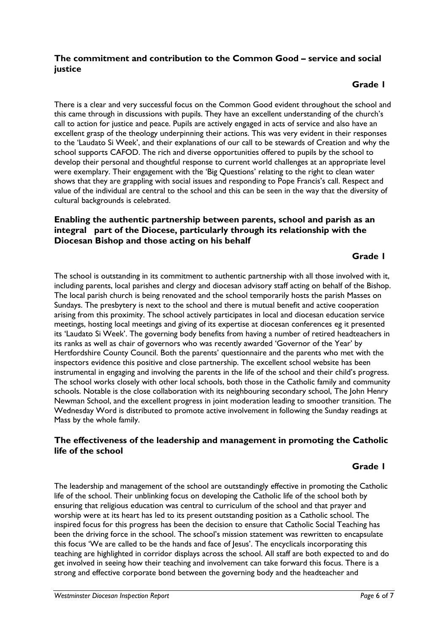#### **The commitment and contribution to the Common Good – service and social justice**

#### **Grade 1**

There is a clear and very successful focus on the Common Good evident throughout the school and this came through in discussions with pupils. They have an excellent understanding of the church's call to action for justice and peace. Pupils are actively engaged in acts of service and also have an excellent grasp of the theology underpinning their actions. This was very evident in their responses to the 'Laudato Si Week', and their explanations of our call to be stewards of Creation and why the school supports CAFOD. The rich and diverse opportunities offered to pupils by the school to develop their personal and thoughtful response to current world challenges at an appropriate level were exemplary. Their engagement with the 'Big Questions' relating to the right to clean water shows that they are grappling with social issues and responding to Pope Francis's call. Respect and value of the individual are central to the school and this can be seen in the way that the diversity of cultural backgrounds is celebrated.

#### **Enabling the authentic partnership between parents, school and parish as an integral part of the Diocese, particularly through its relationship with the Diocesan Bishop and those acting on his behalf**

#### **Grade 1**

The school is outstanding in its commitment to authentic partnership with all those involved with it, including parents, local parishes and clergy and diocesan advisory staff acting on behalf of the Bishop. The local parish church is being renovated and the school temporarily hosts the parish Masses on Sundays. The presbytery is next to the school and there is mutual benefit and active cooperation arising from this proximity. The school actively participates in local and diocesan education service meetings, hosting local meetings and giving of its expertise at diocesan conferences eg it presented its 'Laudato Si Week'. The governing body benefits from having a number of retired headteachers in its ranks as well as chair of governors who was recently awarded 'Governor of the Year' by Hertfordshire County Council. Both the parents' questionnaire and the parents who met with the inspectors evidence this positive and close partnership. The excellent school website has been instrumental in engaging and involving the parents in the life of the school and their child's progress. The school works closely with other local schools, both those in the Catholic family and community schools. Notable is the close collaboration with its neighbouring secondary school, The John Henry Newman School, and the excellent progress in joint moderation leading to smoother transition. The Wednesday Word is distributed to promote active involvement in following the Sunday readings at Mass by the whole family.

#### **The effectiveness of the leadership and management in promoting the Catholic life of the school**

#### **Grade 1**

The leadership and management of the school are outstandingly effective in promoting the Catholic life of the school. Their unblinking focus on developing the Catholic life of the school both by ensuring that religious education was central to curriculum of the school and that prayer and worship were at its heart has led to its present outstanding position as a Catholic school. The inspired focus for this progress has been the decision to ensure that Catholic Social Teaching has been the driving force in the school. The school's mission statement was rewritten to encapsulate this focus 'We are called to be the hands and face of Jesus'. The encyclicals incorporating this teaching are highlighted in corridor displays across the school. All staff are both expected to and do get involved in seeing how their teaching and involvement can take forward this focus. There is a strong and effective corporate bond between the governing body and the headteacher and